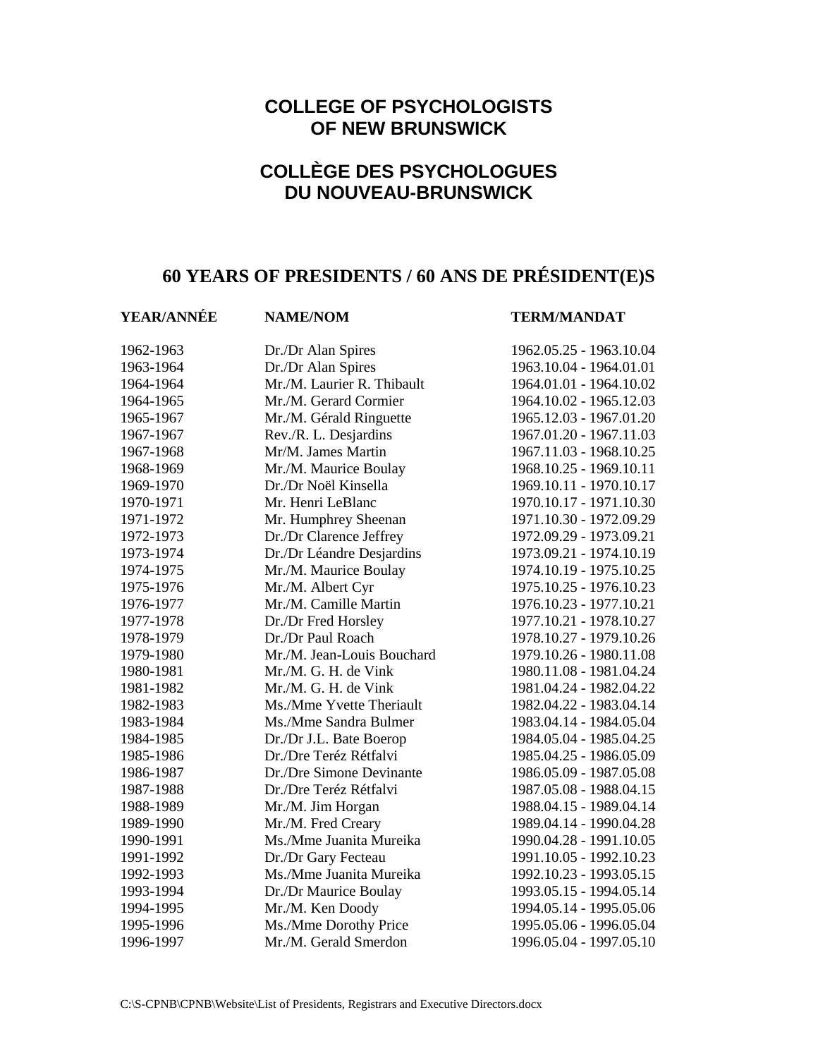## **COLLEGE OF PSYCHOLOGISTS OF NEW BRUNSWICK**

## **COLLÈGE DES PSYCHOLOGUES DU NOUVEAU-BRUNSWICK**

## **60 YEARS OF PRESIDENTS / 60 ANS DE PRÉSIDENT(E)S**

### **YEAR/ANNÉE NAME/NOM TERM/MANDAT**

| 1962-1963 | Dr./Dr Alan Spires         | 1962.05.25 - 1963.10.04 |
|-----------|----------------------------|-------------------------|
| 1963-1964 | Dr./Dr Alan Spires         | 1963.10.04 - 1964.01.01 |
| 1964-1964 | Mr./M. Laurier R. Thibault | 1964.01.01 - 1964.10.02 |
| 1964-1965 | Mr./M. Gerard Cormier      | 1964.10.02 - 1965.12.03 |
| 1965-1967 | Mr./M. Gérald Ringuette    | 1965.12.03 - 1967.01.20 |
| 1967-1967 | Rev./R. L. Desjardins      | 1967.01.20 - 1967.11.03 |
| 1967-1968 | Mr/M. James Martin         | 1967.11.03 - 1968.10.25 |
| 1968-1969 | Mr./M. Maurice Boulay      | 1968.10.25 - 1969.10.11 |
| 1969-1970 | Dr./Dr Noël Kinsella       | 1969.10.11 - 1970.10.17 |
| 1970-1971 | Mr. Henri LeBlanc          | 1970.10.17 - 1971.10.30 |
| 1971-1972 | Mr. Humphrey Sheenan       | 1971.10.30 - 1972.09.29 |
| 1972-1973 | Dr./Dr Clarence Jeffrey    | 1972.09.29 - 1973.09.21 |
| 1973-1974 | Dr./Dr Léandre Desjardins  | 1973.09.21 - 1974.10.19 |
| 1974-1975 | Mr./M. Maurice Boulay      | 1974.10.19 - 1975.10.25 |
| 1975-1976 | Mr./M. Albert Cyr          | 1975.10.25 - 1976.10.23 |
| 1976-1977 | Mr./M. Camille Martin      | 1976.10.23 - 1977.10.21 |
| 1977-1978 | Dr./Dr Fred Horsley        | 1977.10.21 - 1978.10.27 |
| 1978-1979 | Dr./Dr Paul Roach          | 1978.10.27 - 1979.10.26 |
| 1979-1980 | Mr./M. Jean-Louis Bouchard | 1979.10.26 - 1980.11.08 |
| 1980-1981 | Mr./M. G. H. de Vink       | 1980.11.08 - 1981.04.24 |
| 1981-1982 | Mr./M. G. H. de Vink       | 1981.04.24 - 1982.04.22 |
| 1982-1983 | Ms./Mme Yvette Theriault   | 1982.04.22 - 1983.04.14 |
| 1983-1984 | Ms./Mme Sandra Bulmer      | 1983.04.14 - 1984.05.04 |
| 1984-1985 | Dr./Dr J.L. Bate Boerop    | 1984.05.04 - 1985.04.25 |
| 1985-1986 | Dr./Dre Teréz Rétfalvi     | 1985.04.25 - 1986.05.09 |
| 1986-1987 | Dr./Dre Simone Devinante   | 1986.05.09 - 1987.05.08 |
| 1987-1988 | Dr./Dre Teréz Rétfalvi     | 1987.05.08 - 1988.04.15 |
| 1988-1989 | Mr./M. Jim Horgan          | 1988.04.15 - 1989.04.14 |
| 1989-1990 | Mr./M. Fred Creary         | 1989.04.14 - 1990.04.28 |
| 1990-1991 | Ms./Mme Juanita Mureika    | 1990.04.28 - 1991.10.05 |
| 1991-1992 | Dr./Dr Gary Fecteau        | 1991.10.05 - 1992.10.23 |
| 1992-1993 | Ms./Mme Juanita Mureika    | 1992.10.23 - 1993.05.15 |
| 1993-1994 | Dr./Dr Maurice Boulay      | 1993.05.15 - 1994.05.14 |
| 1994-1995 | Mr./M. Ken Doody           | 1994.05.14 - 1995.05.06 |
| 1995-1996 | Ms./Mme Dorothy Price      | 1995.05.06 - 1996.05.04 |
| 1996-1997 | Mr./M. Gerald Smerdon      | 1996.05.04 - 1997.05.10 |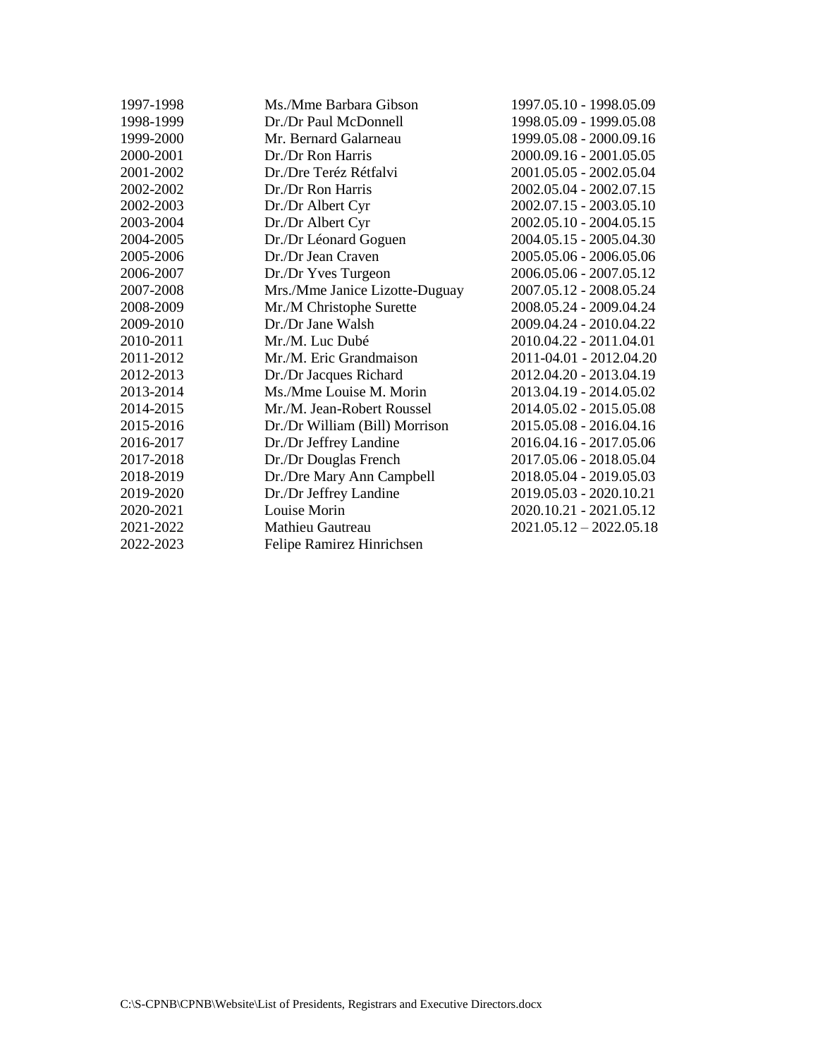| 1997-1998 | Ms./Mme Barbara Gibson         | 1997.05.10 - 1998.05.09   |
|-----------|--------------------------------|---------------------------|
| 1998-1999 | Dr./Dr Paul McDonnell          | 1998.05.09 - 1999.05.08   |
| 1999-2000 | Mr. Bernard Galarneau          | 1999.05.08 - 2000.09.16   |
| 2000-2001 | Dr./Dr Ron Harris              | 2000.09.16 - 2001.05.05   |
| 2001-2002 | Dr./Dre Teréz Rétfalvi         | 2001.05.05 - 2002.05.04   |
| 2002-2002 | Dr./Dr Ron Harris              | 2002.05.04 - 2002.07.15   |
| 2002-2003 | Dr./Dr Albert Cyr              | 2002.07.15 - 2003.05.10   |
| 2003-2004 | Dr./Dr Albert Cyr              | 2002.05.10 - 2004.05.15   |
| 2004-2005 | Dr./Dr Léonard Goguen          | 2004.05.15 - 2005.04.30   |
| 2005-2006 | Dr./Dr Jean Craven             | 2005.05.06 - 2006.05.06   |
| 2006-2007 | Dr./Dr Yves Turgeon            | 2006.05.06 - 2007.05.12   |
| 2007-2008 | Mrs./Mme Janice Lizotte-Duguay | 2007.05.12 - 2008.05.24   |
| 2008-2009 | Mr./M Christophe Surette       | 2008.05.24 - 2009.04.24   |
| 2009-2010 | Dr./Dr Jane Walsh              | 2009.04.24 - 2010.04.22   |
| 2010-2011 | Mr./M. Luc Dubé                | 2010.04.22 - 2011.04.01   |
| 2011-2012 | Mr./M. Eric Grandmaison        | 2011-04.01 - 2012.04.20   |
| 2012-2013 | Dr./Dr Jacques Richard         | 2012.04.20 - 2013.04.19   |
| 2013-2014 | Ms./Mme Louise M. Morin        | 2013.04.19 - 2014.05.02   |
| 2014-2015 | Mr./M. Jean-Robert Roussel     | 2014.05.02 - 2015.05.08   |
| 2015-2016 | Dr./Dr William (Bill) Morrison | 2015.05.08 - 2016.04.16   |
| 2016-2017 | Dr./Dr Jeffrey Landine         | 2016.04.16 - 2017.05.06   |
| 2017-2018 | Dr./Dr Douglas French          | 2017.05.06 - 2018.05.04   |
| 2018-2019 | Dr./Dre Mary Ann Campbell      | 2018.05.04 - 2019.05.03   |
| 2019-2020 | Dr./Dr Jeffrey Landine         | 2019.05.03 - 2020.10.21   |
| 2020-2021 | Louise Morin                   | 2020.10.21 - 2021.05.12   |
| 2021-2022 | Mathieu Gautreau               | $2021.05.12 - 2022.05.18$ |
| 2022-2023 | Felipe Ramirez Hinrichsen      |                           |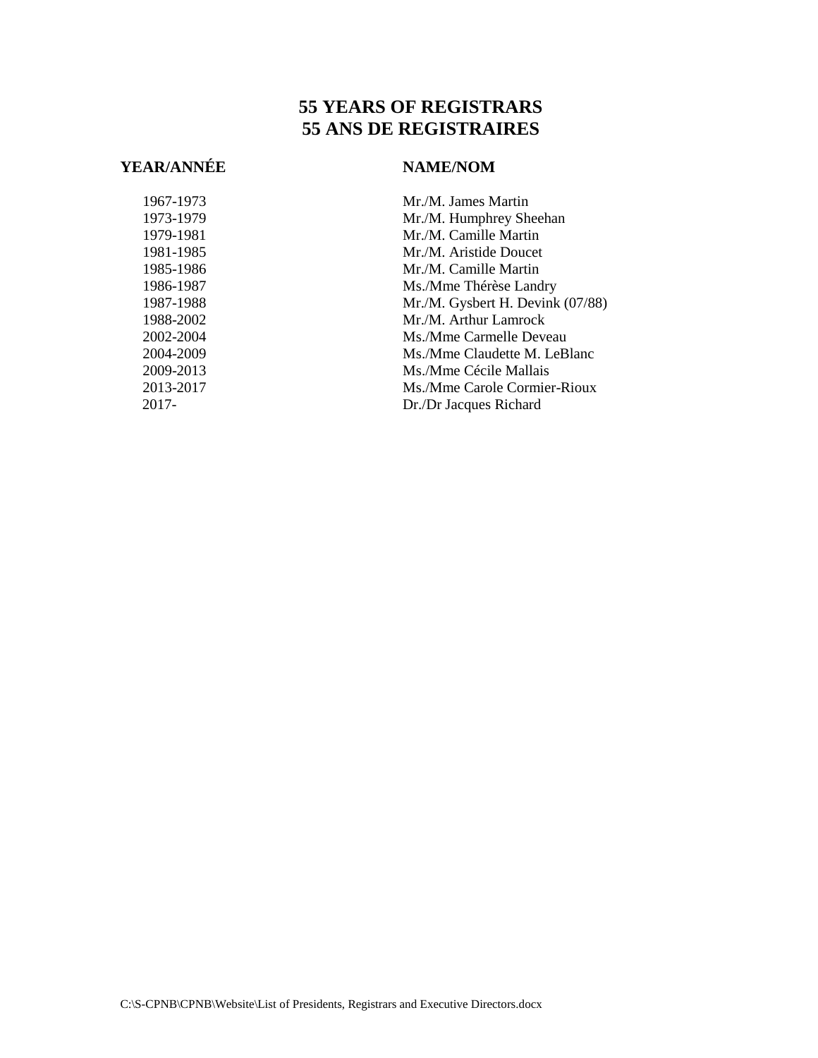## **55 YEARS OF REGISTRARS 55 ANS DE REGISTRAIRES**

## **YEAR/ANNÉE NAME/NOM**

1967-1973 Mr./M. James Martin 1973-1979 Mr./M. Humphrey Sheehan 1979-1981 Mr./M. Camille Martin 1981-1985 Mr./M. Aristide Doucet 1985-1986 Mr./M. Camille Martin 1986-1987 Ms./Mme Thérèse Landry 1987-1988 Mr./M. Gysbert H. Devink (07/88) 1988-2002 Mr./M. Arthur Lamrock 2002-2004 Ms./Mme Carmelle Deveau 2004-2009 Ms./Mme Claudette M. LeBlanc 2009-2013 Ms./Mme Cécile Mallais 2013-2017 Ms./Mme Carole Cormier-Rioux 2017- Dr./Dr Jacques Richard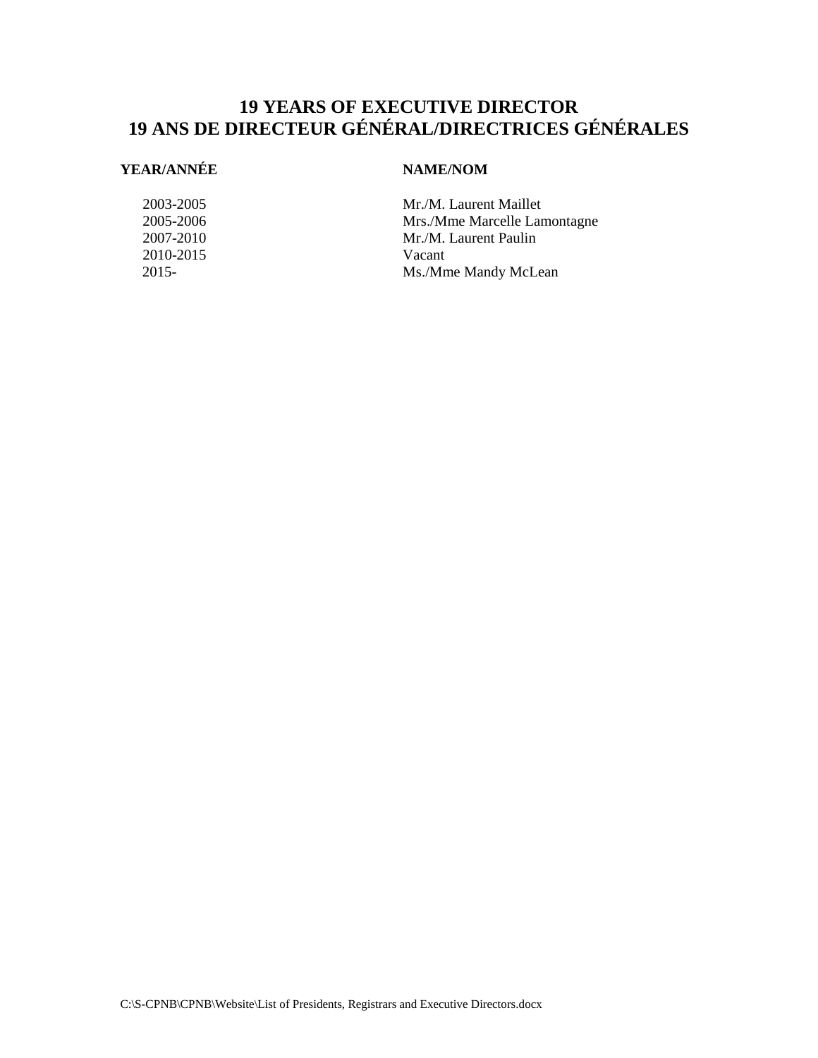## **19 YEARS OF EXECUTIVE DIRECTOR 19 ANS DE DIRECTEUR GÉNÉRAL/DIRECTRICES GÉNÉRALES**

### **YEAR/ANNÉE NAME/NOM**

2010-2015 Vacant

2003-2005 Mr./M. Laurent Maillet 2005-2006 Mrs./Mme Marcelle Lamontagne 2007-2010 Mr./M. Laurent Paulin 2015- Ms./Mme Mandy McLean